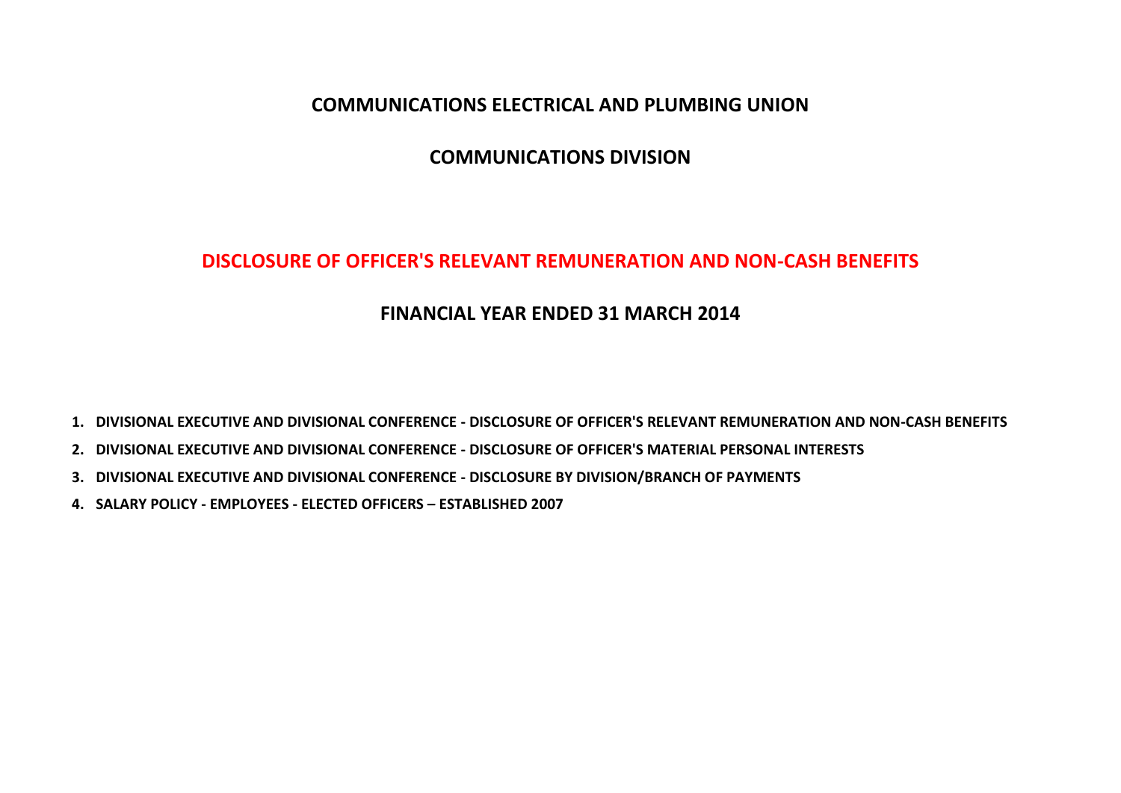# **COMMUNICATIONS ELECTRICAL AND PLUMBING UNION**

# **COMMUNICATIONS DIVISION**

# **DISCLOSURE OF OFFICER'S RELEVANT REMUNERATION AND NON-CASH BENEFITS**

# **FINANCIAL YEAR ENDED 31 MARCH 2014**

**1. DIVISIONAL EXECUTIVE AND DIVISIONAL CONFERENCE - DISCLOSURE OF OFFICER'S RELEVANT REMUNERATION AND NON-CASH BENEFITS**

- **2. DIVISIONAL EXECUTIVE AND DIVISIONAL CONFERENCE - DISCLOSURE OF OFFICER'S MATERIAL PERSONAL INTERESTS**
- **3. DIVISIONAL EXECUTIVE AND DIVISIONAL CONFERENCE - DISCLOSURE BY DIVISION/BRANCH OF PAYMENTS**
- **4. SALARY POLICY - EMPLOYEES - ELECTED OFFICERS – ESTABLISHED 2007**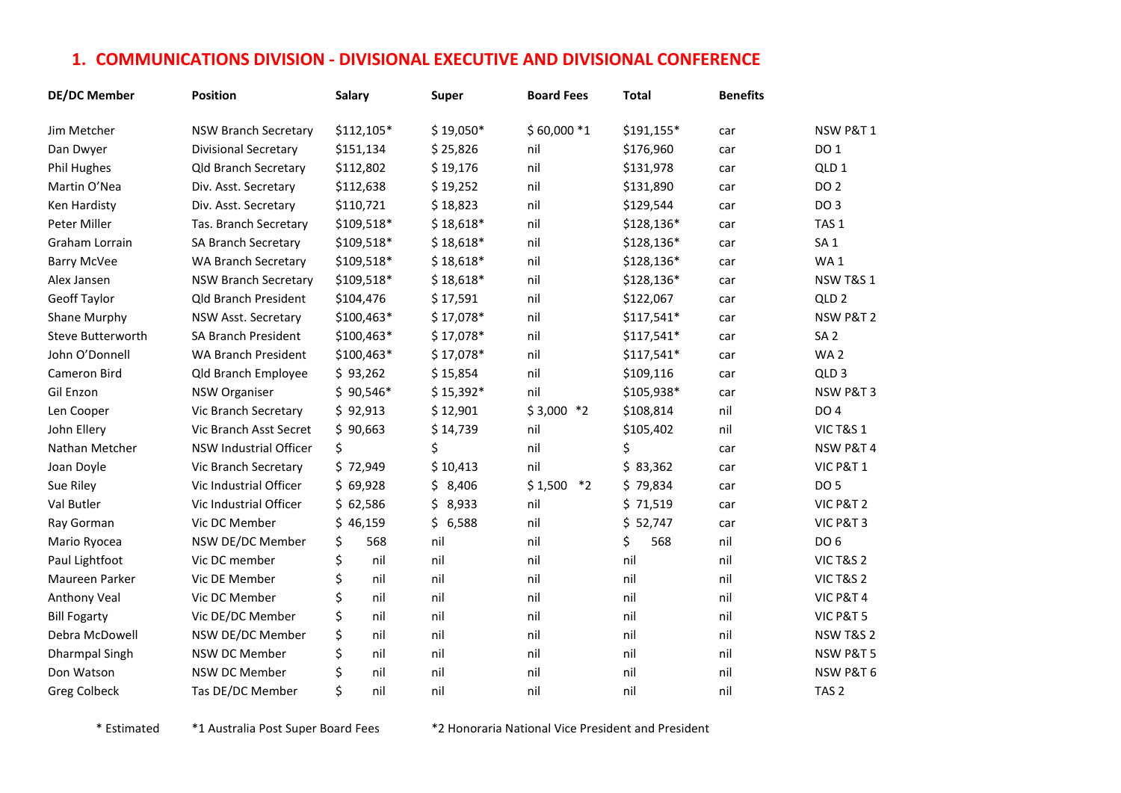# **1. COMMUNICATIONS DIVISION - DIVISIONAL EXECUTIVE AND DIVISIONAL CONFERENCE**

| <b>DE/DC Member</b>      | <b>Position</b>               | Salary     | <b>Super</b> | <b>Board Fees</b>  | <b>Total</b> | <b>Benefits</b> |                      |
|--------------------------|-------------------------------|------------|--------------|--------------------|--------------|-----------------|----------------------|
| Jim Metcher              | <b>NSW Branch Secretary</b>   | \$112,105* | $$19,050*$   | $$60,000*1$        | \$191,155*   | car             | NSW P&T1             |
| Dan Dwyer                | <b>Divisional Secretary</b>   | \$151,134  | \$25,826     | nil                | \$176,960    | car             | DO 1                 |
| Phil Hughes              | Qld Branch Secretary          | \$112,802  | \$19,176     | nil                | \$131,978    | car             | QLD <sub>1</sub>     |
| Martin O'Nea             | Div. Asst. Secretary          | \$112,638  | \$19,252     | nil                | \$131,890    | car             | <b>DO 2</b>          |
| Ken Hardisty             | Div. Asst. Secretary          | \$110,721  | \$18,823     | nil                | \$129,544    | car             | DO <sub>3</sub>      |
| Peter Miller             | Tas. Branch Secretary         | \$109,518* | $$18,618*$   | nil                | \$128,136*   | car             | TAS <sub>1</sub>     |
| Graham Lorrain           | SA Branch Secretary           | \$109,518* | $$18,618*$   | nil                | \$128,136*   | car             | SA <sub>1</sub>      |
| <b>Barry McVee</b>       | <b>WA Branch Secretary</b>    | \$109,518* | $$18,618*$   | nil                | \$128,136*   | car             | WA1                  |
| Alex Jansen              | <b>NSW Branch Secretary</b>   | \$109,518* | $$18,618*$   | nil                | \$128,136*   | car             | <b>NSW T&amp;S 1</b> |
| Geoff Taylor             | <b>Qld Branch President</b>   | \$104,476  | \$17,591     | nil                | \$122,067    | car             | QLD <sub>2</sub>     |
| Shane Murphy             | NSW Asst. Secretary           | \$100,463* | $$17,078*$   | nil                | \$117,541*   | car             | NSW P&T 2            |
| <b>Steve Butterworth</b> | <b>SA Branch President</b>    | \$100,463* | $$17,078*$   | nil                | \$117,541*   | car             | SA <sub>2</sub>      |
| John O'Donnell           | <b>WA Branch President</b>    | \$100,463* | $$17,078*$   | nil                | \$117,541*   | car             | WA <sub>2</sub>      |
| Cameron Bird             | Qld Branch Employee           | \$93,262   | \$15,854     | nil                | \$109,116    | car             | QLD <sub>3</sub>     |
| Gil Enzon                | <b>NSW Organiser</b>          | $$90,546*$ | $$15,392*$   | nil                | \$105,938*   | car             | NSW P&T 3            |
| Len Cooper               | Vic Branch Secretary          | \$92,913   | \$12,901     | $$3,000$ *2        | \$108,814    | nil             | <b>DO 4</b>          |
| John Ellery              | Vic Branch Asst Secret        | \$90,663   | \$14,739     | nil                | \$105,402    | nil             | <b>VIC T&amp;S 1</b> |
| Nathan Metcher           | <b>NSW Industrial Officer</b> | \$         | \$           | nil                | \$           | car             | NSW P&T 4            |
| Joan Doyle               | Vic Branch Secretary          | \$72,949   | \$10,413     | nil                | \$83,362     | car             | <b>VIC P&amp;T 1</b> |
| Sue Riley                | Vic Industrial Officer        | \$69,928   | \$3,406      | $*_{2}$<br>\$1,500 | \$79,834     | car             | <b>DO 5</b>          |
| Val Butler               | Vic Industrial Officer        | \$62,586   | \$8,933      | nil                | \$71,519     | car             | VIC P&T 2            |
| Ray Gorman               | Vic DC Member                 | \$46,159   | \$6,588      | nil                | \$52,747     | car             | VIC P&T 3            |
| Mario Ryocea             | NSW DE/DC Member              | \$<br>568  | nil          | nil                | \$<br>568    | nil             | DO <sub>6</sub>      |
| Paul Lightfoot           | Vic DC member                 | \$<br>nil  | nil          | nil                | nil          | nil             | <b>VIC T&amp;S 2</b> |
| Maureen Parker           | Vic DE Member                 | \$<br>nil  | nil          | nil                | nil          | nil             | <b>VIC T&amp;S 2</b> |
| Anthony Veal             | Vic DC Member                 | \$<br>nil  | nil          | nil                | nil          | nil             | VIC P&T 4            |
| <b>Bill Fogarty</b>      | Vic DE/DC Member              | \$<br>nil  | nil          | nil                | nil          | nil             | VIC P&T 5            |
| Debra McDowell           | NSW DE/DC Member              | \$<br>nil  | nil          | nil                | nil          | nil             | <b>NSW T&amp;S 2</b> |
| <b>Dharmpal Singh</b>    | NSW DC Member                 | \$<br>nil  | nil          | nil                | nil          | nil             | NSW P&T 5            |
| Don Watson               | NSW DC Member                 | \$<br>nil  | nil          | nil                | nil          | nil             | NSW P&T 6            |
| <b>Greg Colbeck</b>      | Tas DE/DC Member              | \$<br>nil  | nil          | nil                | nil          | nil             | TAS <sub>2</sub>     |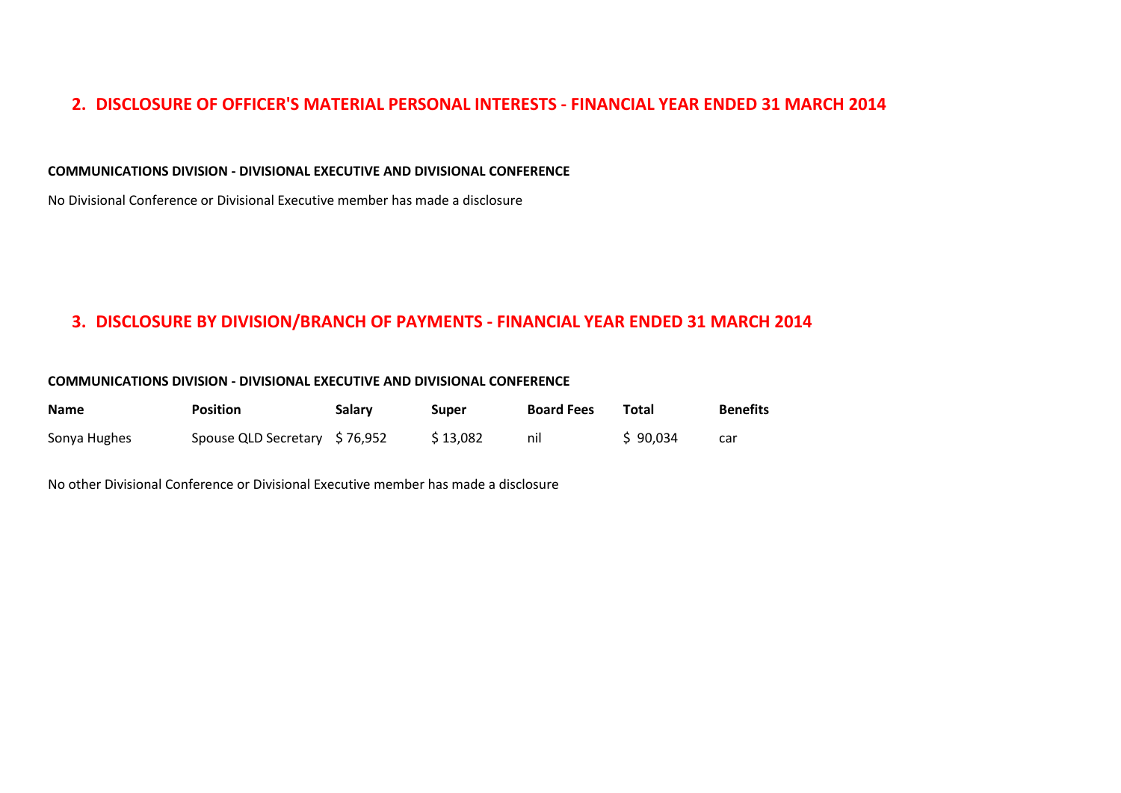### **2. DISCLOSURE OF OFFICER'S MATERIAL PERSONAL INTERESTS - FINANCIAL YEAR ENDED 31 MARCH 2014**

#### **COMMUNICATIONS DIVISION - DIVISIONAL EXECUTIVE AND DIVISIONAL CONFERENCE**

No Divisional Conference or Divisional Executive member has made a disclosure

### **3. DISCLOSURE BY DIVISION/BRANCH OF PAYMENTS - FINANCIAL YEAR ENDED 31 MARCH 2014**

#### **COMMUNICATIONS DIVISION - DIVISIONAL EXECUTIVE AND DIVISIONAL CONFERENCE**

| <b>Name</b>  | <b>Position</b>               | Salary | Super    | <b>Board Fees</b> | Total    | <b>Benefits</b> |
|--------------|-------------------------------|--------|----------|-------------------|----------|-----------------|
| Sonya Hughes | Spouse QLD Secretary \$76,952 |        | \$13,082 | nil               | \$90,034 | car             |

No other Divisional Conference or Divisional Executive member has made a disclosure